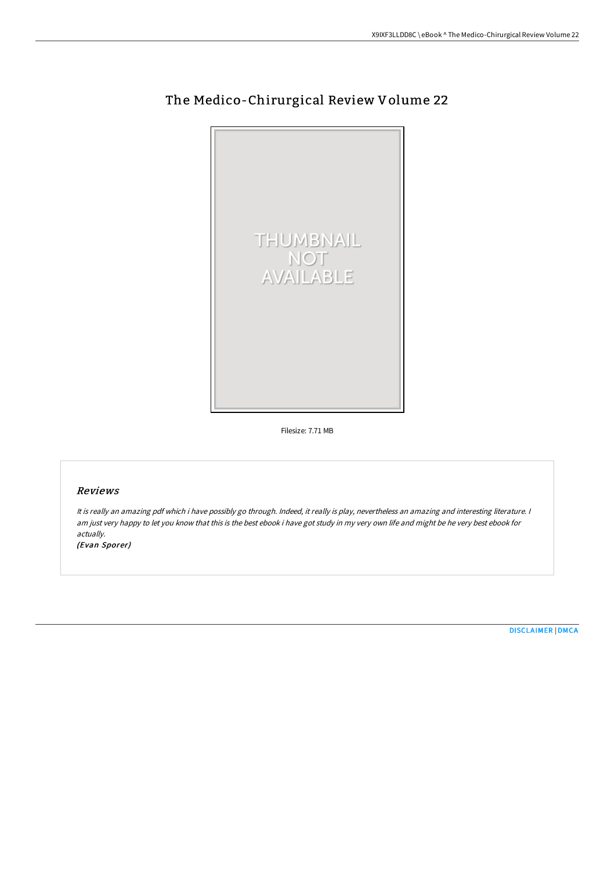

# The Medico-Chirurgical Review Volume 22

Filesize: 7.71 MB

## Reviews

It is really an amazing pdf which i have possibly go through. Indeed, it really is play, nevertheless an amazing and interesting literature. <sup>I</sup> am just very happy to let you know that this is the best ebook i have got study in my very own life and might be he very best ebook for actually.

(Evan Sporer)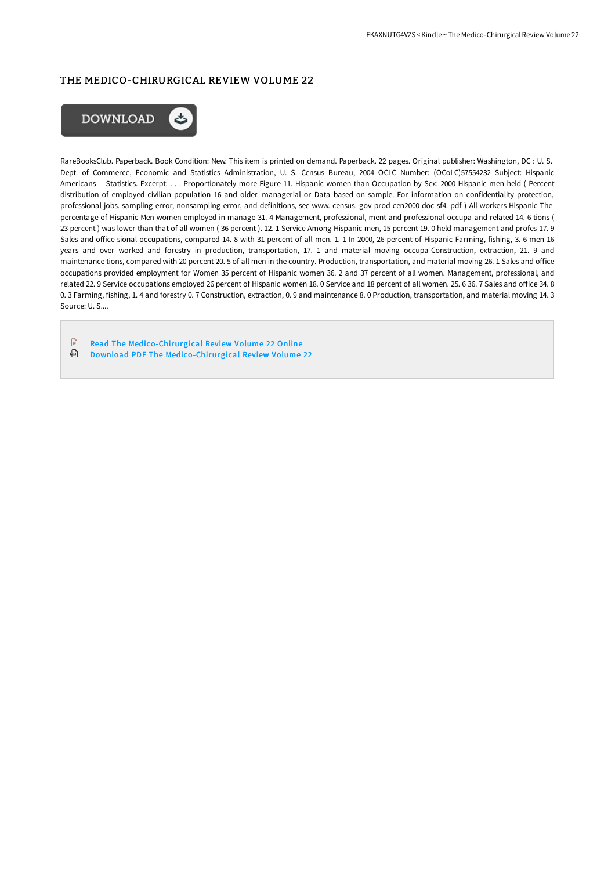# THE MEDICO-CHIRURGICAL REVIEW VOLUME 22



RareBooksClub. Paperback. Book Condition: New. This item is printed on demand. Paperback. 22 pages. Original publisher: Washington, DC : U. S. Dept. of Commerce, Economic and Statistics Administration, U. S. Census Bureau, 2004 OCLC Number: (OCoLC)57554232 Subject: Hispanic Americans -- Statistics. Excerpt: . . . Proportionately more Figure 11. Hispanic women than Occupation by Sex: 2000 Hispanic men held ( Percent distribution of employed civilian population 16 and older. managerial or Data based on sample. For information on confidentiality protection, professional jobs. sampling error, nonsampling error, and definitions, see www. census. gov prod cen2000 doc sf4. pdf ) All workers Hispanic The percentage of Hispanic Men women employed in manage-31. 4 Management, professional, ment and professional occupa-and related 14. 6 tions ( 23 percent ) was lower than that of all women ( 36 percent ). 12. 1 Service Among Hispanic men, 15 percent 19. 0 held management and profes-17. 9 Sales and office sional occupations, compared 14. 8 with 31 percent of all men. 1. 1 In 2000, 26 percent of Hispanic Farming, fishing, 3. 6 men 16 years and over worked and forestry in production, transportation, 17. 1 and material moving occupa-Construction, extraction, 21. 9 and maintenance tions, compared with 20 percent 20.5 of all men in the country. Production, transportation, and material moving 26.1 Sales and office occupations provided employment for Women 35 percent of Hispanic women 36. 2 and 37 percent of all women. Management, professional, and related 22. 9 Service occupations employed 26 percent of Hispanic women 18. 0 Service and 18 percent of all women. 25. 6 36. 7 Sales and office 34. 8 0. 3 Farming, fishing, 1. 4 and forestry 0. 7 Construction, extraction, 0. 9 and maintenance 8. 0 Production, transportation, and material moving 14. 3 Source: U. S....

 $\mathbb{R}$ Read The [Medico-Chirurgical](http://techno-pub.tech/the-medico-chirurgical-review-volume-22.html) Review Volume 22 Online ⊕ Download PDF The [Medico-Chirurgical](http://techno-pub.tech/the-medico-chirurgical-review-volume-22.html) Review Volume 22